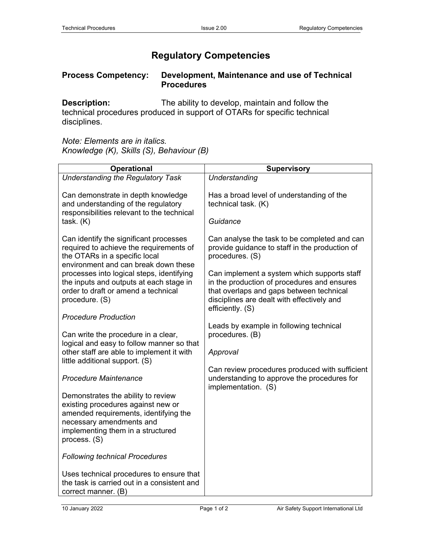## **Regulatory Competencies**

## **Process Competency: Development, Maintenance and use of Technical Procedures**

**Description:** The ability to develop, maintain and follow the technical procedures produced in support of OTARs for specific technical disciplines.

*Note: Elements are in italics. Knowledge (K), Skills (S), Behaviour (B)*

| <b>Operational</b>                                                                                                                                                                                 | <b>Supervisory</b>                                                                                                                                                                                       |
|----------------------------------------------------------------------------------------------------------------------------------------------------------------------------------------------------|----------------------------------------------------------------------------------------------------------------------------------------------------------------------------------------------------------|
| <b>Understanding the Regulatory Task</b>                                                                                                                                                           | Understanding                                                                                                                                                                                            |
| Can demonstrate in depth knowledge<br>and understanding of the regulatory<br>responsibilities relevant to the technical<br>task. (K)                                                               | Has a broad level of understanding of the<br>technical task. (K)<br>Guidance                                                                                                                             |
| Can identify the significant processes<br>required to achieve the requirements of<br>the OTARs in a specific local<br>environment and can break down these                                         | Can analyse the task to be completed and can<br>provide guidance to staff in the production of<br>procedures. (S)                                                                                        |
| processes into logical steps, identifying<br>the inputs and outputs at each stage in<br>order to draft or amend a technical<br>procedure. (S)                                                      | Can implement a system which supports staff<br>in the production of procedures and ensures<br>that overlaps and gaps between technical<br>disciplines are dealt with effectively and<br>efficiently. (S) |
| <b>Procedure Production</b>                                                                                                                                                                        |                                                                                                                                                                                                          |
| Can write the procedure in a clear,<br>logical and easy to follow manner so that<br>other staff are able to implement it with<br>little additional support. (S)                                    | Leads by example in following technical<br>procedures. (B)<br>Approval                                                                                                                                   |
| <b>Procedure Maintenance</b>                                                                                                                                                                       | Can review procedures produced with sufficient<br>understanding to approve the procedures for<br>implementation. (S)                                                                                     |
| Demonstrates the ability to review<br>existing procedures against new or<br>amended requirements, identifying the<br>necessary amendments and<br>implementing them in a structured<br>process. (S) |                                                                                                                                                                                                          |
| <b>Following technical Procedures</b>                                                                                                                                                              |                                                                                                                                                                                                          |
| Uses technical procedures to ensure that<br>the task is carried out in a consistent and<br>correct manner. (B)                                                                                     |                                                                                                                                                                                                          |